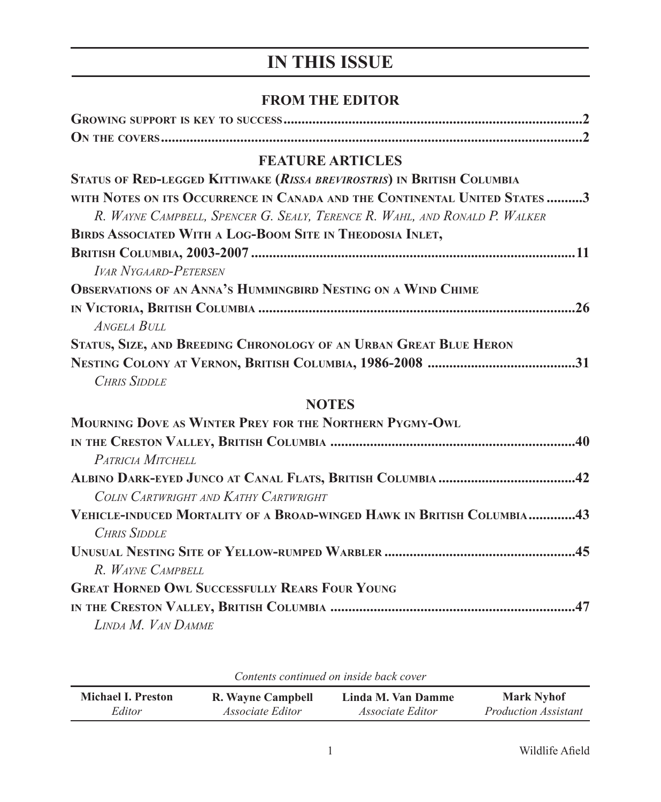# **IN THIS ISSUE**

#### **FROM THE EDITOR**

## **FEATURE ARTICLES**

| STATUS OF RED-LEGGED KITTIWAKE (RISSA BREVIROSTRIS) IN BRITISH COLUMBIA    |
|----------------------------------------------------------------------------|
| WITH NOTES ON ITS OCCURRENCE IN CANADA AND THE CONTINENTAL UNITED STATES 3 |
| R. WAYNE CAMPBELL, SPENCER G. SEALY, TERENCE R. WAHL, AND RONALD P. WALKER |
| BIRDS ASSOCIATED WITH A LOG-BOOM SITE IN THEODOSIA INLET,                  |
|                                                                            |
| <b>IVAR NYGAARD-PETERSEN</b>                                               |
| <b>OBSERVATIONS OF AN ANNA'S HUMMINGBIRD NESTING ON A WIND CHIME</b>       |
| 26                                                                         |
| ANGELA BULL                                                                |
| STATUS, SIZE, AND BREEDING CHRONOLOGY OF AN URBAN GREAT BLUE HERON         |
|                                                                            |
| <b>CHRIS SIDDLE</b>                                                        |

## **NOTES**

| MOURNING DOVE AS WINTER PREY FOR THE NORTHERN PYGMY-OWL                |  |
|------------------------------------------------------------------------|--|
|                                                                        |  |
| PATRICIA MITCHELL                                                      |  |
|                                                                        |  |
| COLIN CARTWRIGHT AND KATHY CARTWRIGHT                                  |  |
| VEHICLE-INDUCED MORTALITY OF A BROAD-WINGED HAWK IN BRITISH COLUMBIA43 |  |
| CHRIS SIDDLE                                                           |  |
|                                                                        |  |
| R. WAYNE CAMPBELL                                                      |  |
| <b>GREAT HORNED OWL SUCCESSFULLY REARS FOUR YOUNG</b>                  |  |
|                                                                        |  |
| LINDA M. VAN DAMME                                                     |  |

*Contents continued on inside back cover*

| <b>Michael I. Preston</b> | R. Wayne Campbell       | Linda M. Van Damme      | <b>Mark Nyhof</b>           |
|---------------------------|-------------------------|-------------------------|-----------------------------|
| Editor                    | <i>Associate Editor</i> | <i>Associate Editor</i> | <i>Production Assistant</i> |